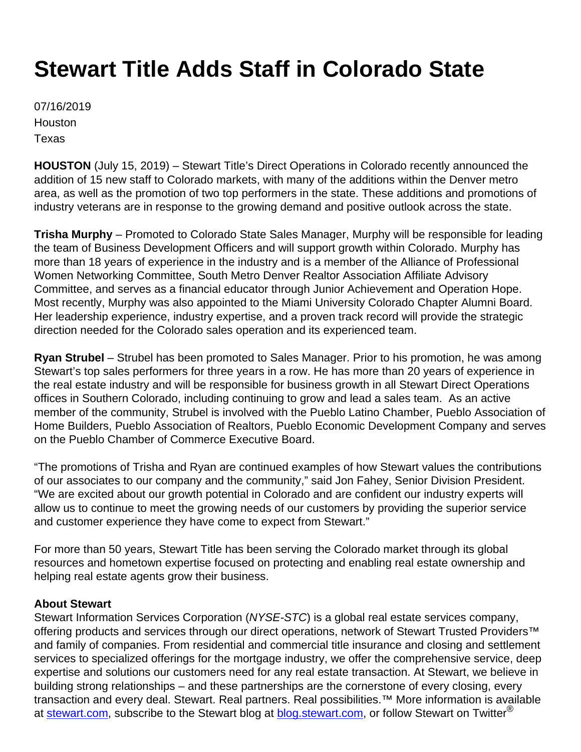## **Stewart Title Adds Staff in Colorado State**

07/16/2019 **Houston** Texas

**HOUSTON** (July 15, 2019) – Stewart Title's Direct Operations in Colorado recently announced the addition of 15 new staff to Colorado markets, with many of the additions within the Denver metro area, as well as the promotion of two top performers in the state. These additions and promotions of industry veterans are in response to the growing demand and positive outlook across the state.

**Trisha Murphy** – Promoted to Colorado State Sales Manager, Murphy will be responsible for leading the team of Business Development Officers and will support growth within Colorado. Murphy has more than 18 years of experience in the industry and is a member of the Alliance of Professional Women Networking Committee, South Metro Denver Realtor Association Affiliate Advisory Committee, and serves as a financial educator through Junior Achievement and Operation Hope. Most recently, Murphy was also appointed to the Miami University Colorado Chapter Alumni Board. Her leadership experience, industry expertise, and a proven track record will provide the strategic direction needed for the Colorado sales operation and its experienced team.

**Ryan Strubel** – Strubel has been promoted to Sales Manager. Prior to his promotion, he was among Stewart's top sales performers for three years in a row. He has more than 20 years of experience in the real estate industry and will be responsible for business growth in all Stewart Direct Operations offices in Southern Colorado, including continuing to grow and lead a sales team. As an active member of the community, Strubel is involved with the Pueblo Latino Chamber, Pueblo Association of Home Builders, Pueblo Association of Realtors, Pueblo Economic Development Company and serves on the Pueblo Chamber of Commerce Executive Board.

"The promotions of Trisha and Ryan are continued examples of how Stewart values the contributions of our associates to our company and the community," said Jon Fahey, Senior Division President. "We are excited about our growth potential in Colorado and are confident our industry experts will allow us to continue to meet the growing needs of our customers by providing the superior service and customer experience they have come to expect from Stewart."

For more than 50 years, Stewart Title has been serving the Colorado market through its global resources and hometown expertise focused on protecting and enabling real estate ownership and helping real estate agents grow their business.

## **About Stewart**

Stewart Information Services Corporation (NYSE-STC) is a global real estate services company, offering products and services through our direct operations, network of Stewart Trusted Providers<sup>™</sup> and family of companies. From residential and commercial title insurance and closing and settlement services to specialized offerings for the mortgage industry, we offer the comprehensive service, deep expertise and solutions our customers need for any real estate transaction. At Stewart, we believe in building strong relationships – and these partnerships are the cornerstone of every closing, every transaction and every deal. Stewart. Real partners. Real possibilities.™ More information is available at [stewart.com](http://www.stewart.com/), subscribe to the Stewart blog at **blog.stewart.com**, or follow Stewart on Twitter<sup>®</sup>